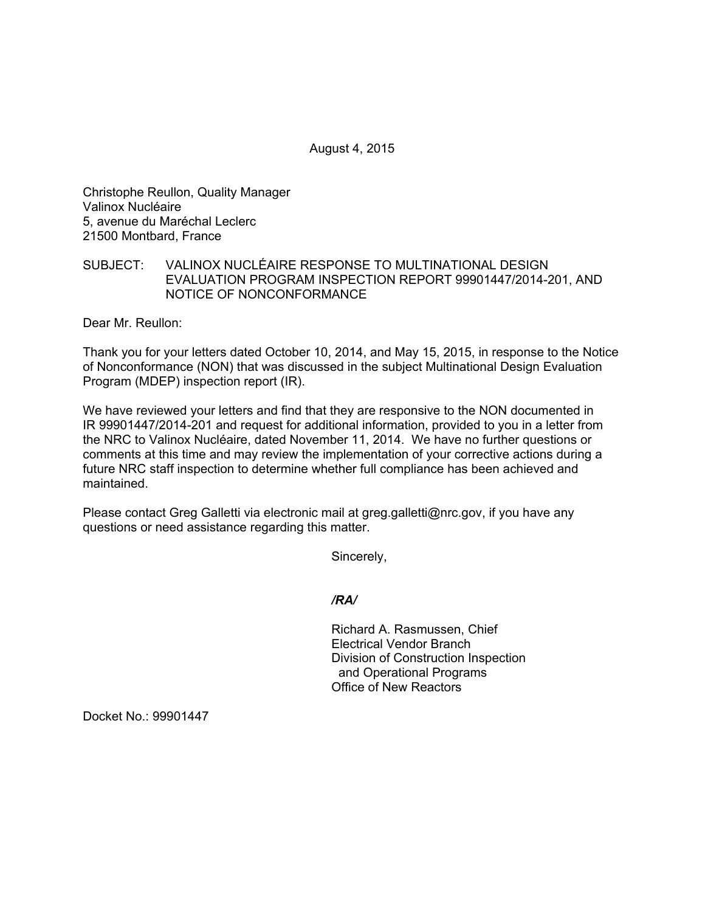August 4, 2015

Christophe Reullon, Quality Manager Valinox Nucléaire 5, avenue du Maréchal Leclerc 21500 Montbard, France

## SUBJECT: VALINOX NUCLÉAIRE RESPONSE TO MULTINATIONAL DESIGN EVALUATION PROGRAM INSPECTION REPORT 99901447/2014-201, AND NOTICE OF NONCONFORMANCE

Dear Mr. Reullon:

Thank you for your letters dated October 10, 2014, and May 15, 2015, in response to the Notice of Nonconformance (NON) that was discussed in the subject Multinational Design Evaluation Program (MDEP) inspection report (IR).

We have reviewed your letters and find that they are responsive to the NON documented in IR 99901447/2014-201 and request for additional information, provided to you in a letter from the NRC to Valinox Nucléaire, dated November 11, 2014. We have no further questions or comments at this time and may review the implementation of your corrective actions during a future NRC staff inspection to determine whether full compliance has been achieved and maintained.

Please contact Greg Galletti via electronic mail at greg.galletti@nrc.gov, if you have any questions or need assistance regarding this matter.

Sincerely,

*/RA/* 

Richard A. Rasmussen, Chief Electrical Vendor Branch Division of Construction Inspection and Operational Programs Office of New Reactors

Docket No.: 99901447